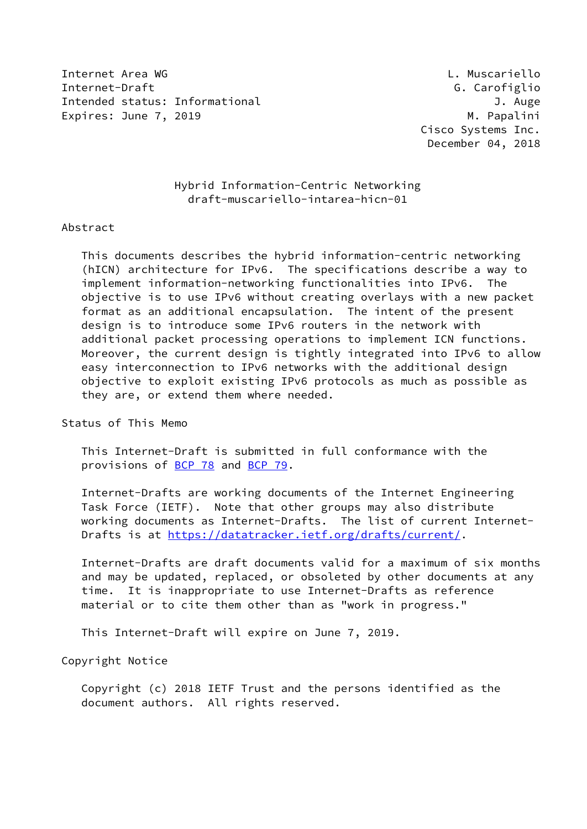Internet Area WG L. Muscariello Internet-Draft G. Carofiglio Intended status: Informational J. Auge Expires: June 7, 2019 **M. Papalini** 

 Cisco Systems Inc. December 04, 2018

# Hybrid Information-Centric Networking draft-muscariello-intarea-hicn-01

### Abstract

 This documents describes the hybrid information-centric networking (hICN) architecture for IPv6. The specifications describe a way to implement information-networking functionalities into IPv6. The objective is to use IPv6 without creating overlays with a new packet format as an additional encapsulation. The intent of the present design is to introduce some IPv6 routers in the network with additional packet processing operations to implement ICN functions. Moreover, the current design is tightly integrated into IPv6 to allow easy interconnection to IPv6 networks with the additional design objective to exploit existing IPv6 protocols as much as possible as they are, or extend them where needed.

Status of This Memo

 This Internet-Draft is submitted in full conformance with the provisions of [BCP 78](https://datatracker.ietf.org/doc/pdf/bcp78) and [BCP 79](https://datatracker.ietf.org/doc/pdf/bcp79).

 Internet-Drafts are working documents of the Internet Engineering Task Force (IETF). Note that other groups may also distribute working documents as Internet-Drafts. The list of current Internet- Drafts is at<https://datatracker.ietf.org/drafts/current/>.

 Internet-Drafts are draft documents valid for a maximum of six months and may be updated, replaced, or obsoleted by other documents at any time. It is inappropriate to use Internet-Drafts as reference material or to cite them other than as "work in progress."

This Internet-Draft will expire on June 7, 2019.

Copyright Notice

 Copyright (c) 2018 IETF Trust and the persons identified as the document authors. All rights reserved.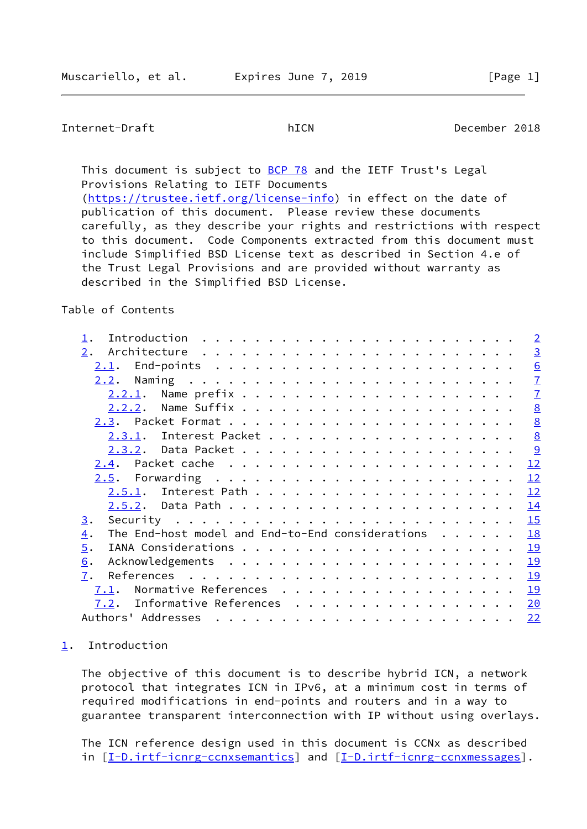## <span id="page-1-1"></span>Internet-Draft hICN December 2018

This document is subject to [BCP 78](https://datatracker.ietf.org/doc/pdf/bcp78) and the IETF Trust's Legal Provisions Relating to IETF Documents [\(https://trustee.ietf.org/license-info](https://trustee.ietf.org/license-info)) in effect on the date of publication of this document. Please review these documents carefully, as they describe your rights and restrictions with respect to this document. Code Components extracted from this document must include Simplified BSD License text as described in Section 4.e of the Trust Legal Provisions and are provided without warranty as described in the Simplified BSD License.

### Table of Contents

|                                                                                                                                                                                                                                                                                                                                                                                                                                                                |  |  |  | $\overline{2}$  |
|----------------------------------------------------------------------------------------------------------------------------------------------------------------------------------------------------------------------------------------------------------------------------------------------------------------------------------------------------------------------------------------------------------------------------------------------------------------|--|--|--|-----------------|
| 2.                                                                                                                                                                                                                                                                                                                                                                                                                                                             |  |  |  | $\overline{3}$  |
| End-points $\ldots \ldots \ldots \ldots \ldots \ldots \ldots \ldots$<br>2.1.                                                                                                                                                                                                                                                                                                                                                                                   |  |  |  | 6               |
| 2.2.                                                                                                                                                                                                                                                                                                                                                                                                                                                           |  |  |  | $\mathbf{I}$    |
|                                                                                                                                                                                                                                                                                                                                                                                                                                                                |  |  |  | $\overline{1}$  |
|                                                                                                                                                                                                                                                                                                                                                                                                                                                                |  |  |  | 8               |
|                                                                                                                                                                                                                                                                                                                                                                                                                                                                |  |  |  | 8               |
|                                                                                                                                                                                                                                                                                                                                                                                                                                                                |  |  |  | $\underline{8}$ |
|                                                                                                                                                                                                                                                                                                                                                                                                                                                                |  |  |  |                 |
|                                                                                                                                                                                                                                                                                                                                                                                                                                                                |  |  |  | 12              |
|                                                                                                                                                                                                                                                                                                                                                                                                                                                                |  |  |  | 12              |
|                                                                                                                                                                                                                                                                                                                                                                                                                                                                |  |  |  | 12              |
|                                                                                                                                                                                                                                                                                                                                                                                                                                                                |  |  |  | 14              |
| Security $\ldots \ldots \ldots \ldots \ldots \ldots \ldots \ldots \ldots$<br>3.                                                                                                                                                                                                                                                                                                                                                                                |  |  |  | 15              |
| The End-host model and End-to-End considerations<br>$\overline{4}$ .                                                                                                                                                                                                                                                                                                                                                                                           |  |  |  | 18              |
| 5.                                                                                                                                                                                                                                                                                                                                                                                                                                                             |  |  |  | 19              |
| 6.                                                                                                                                                                                                                                                                                                                                                                                                                                                             |  |  |  | 19              |
| 7.                                                                                                                                                                                                                                                                                                                                                                                                                                                             |  |  |  | 19              |
| Normative References<br>7.1.                                                                                                                                                                                                                                                                                                                                                                                                                                   |  |  |  | 19              |
| Informative References<br>7.2.                                                                                                                                                                                                                                                                                                                                                                                                                                 |  |  |  | 20              |
| Authors' Addresses<br>$\mathbf{a}^{(i)} \cdot \mathbf{a}^{(i)} \cdot \mathbf{a}^{(i)} \cdot \mathbf{a}^{(i)} \cdot \mathbf{a}^{(i)} \cdot \mathbf{a}^{(i)} \cdot \mathbf{a}^{(i)} \cdot \mathbf{a}^{(i)} \cdot \mathbf{a}^{(i)} \cdot \mathbf{a}^{(i)} \cdot \mathbf{a}^{(i)} \cdot \mathbf{a}^{(i)} \cdot \mathbf{a}^{(i)} \cdot \mathbf{a}^{(i)} \cdot \mathbf{a}^{(i)} \cdot \mathbf{a}^{(i)} \cdot \mathbf{a}^{(i)} \cdot \mathbf{a}^{(i)} \cdot \mathbf{$ |  |  |  | 22              |

### <span id="page-1-0"></span>[1](#page-1-0). Introduction

 The objective of this document is to describe hybrid ICN, a network protocol that integrates ICN in IPv6, at a minimum cost in terms of required modifications in end-points and routers and in a way to guarantee transparent interconnection with IP without using overlays.

 The ICN reference design used in this document is CCNx as described in [[I-D.irtf-icnrg-ccnxsemantics\]](#page-22-1) and [[I-D.irtf-icnrg-ccnxmessages](#page-22-2)].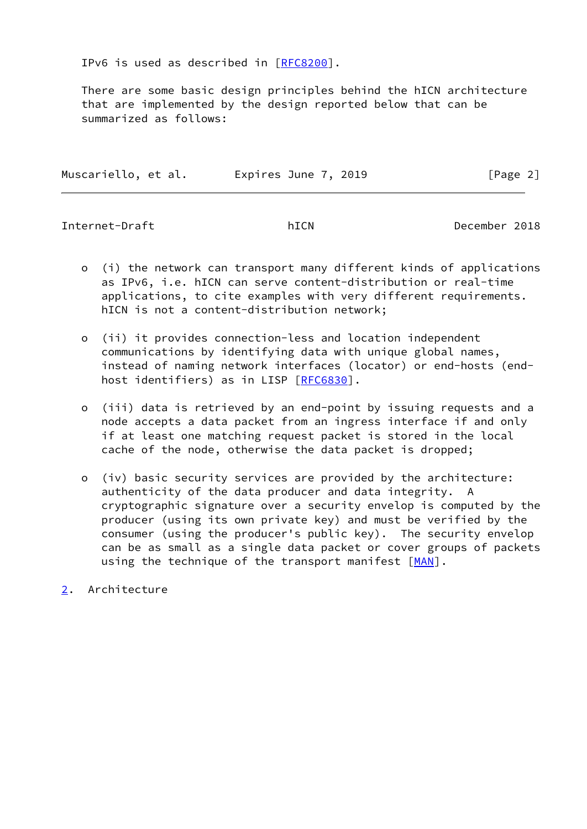IPv6 is used as described in [\[RFC8200](https://datatracker.ietf.org/doc/pdf/rfc8200)].

 There are some basic design principles behind the hICN architecture that are implemented by the design reported below that can be summarized as follows:

| Muscariello, et al. | Expires June 7, 2019 | [Page 2] |  |
|---------------------|----------------------|----------|--|
|                     |                      |          |  |

<span id="page-2-1"></span>Internet-Draft hICN December 2018

- o (i) the network can transport many different kinds of applications as IPv6, i.e. hICN can serve content-distribution or real-time applications, to cite examples with very different requirements. hICN is not a content-distribution network;
- o (ii) it provides connection-less and location independent communications by identifying data with unique global names, instead of naming network interfaces (locator) or end-hosts (end host identifiers) as in LISP [\[RFC6830](https://datatracker.ietf.org/doc/pdf/rfc6830)].
- o (iii) data is retrieved by an end-point by issuing requests and a node accepts a data packet from an ingress interface if and only if at least one matching request packet is stored in the local cache of the node, otherwise the data packet is dropped;
- o (iv) basic security services are provided by the architecture: authenticity of the data producer and data integrity. A cryptographic signature over a security envelop is computed by the producer (using its own private key) and must be verified by the consumer (using the producer's public key). The security envelop can be as small as a single data packet or cover groups of packets using the technique of the transport manifest [\[MAN](#page-23-1)].
- <span id="page-2-0"></span>[2](#page-2-0). Architecture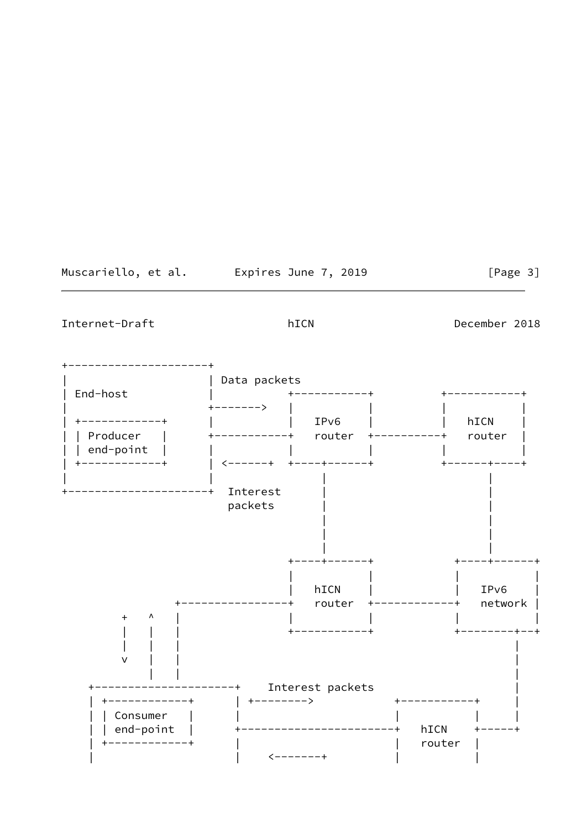Muscariello, et al. Expires June 7, 2019

 $[Page 3]$ 

Internet-Draft

hICN

December 2018

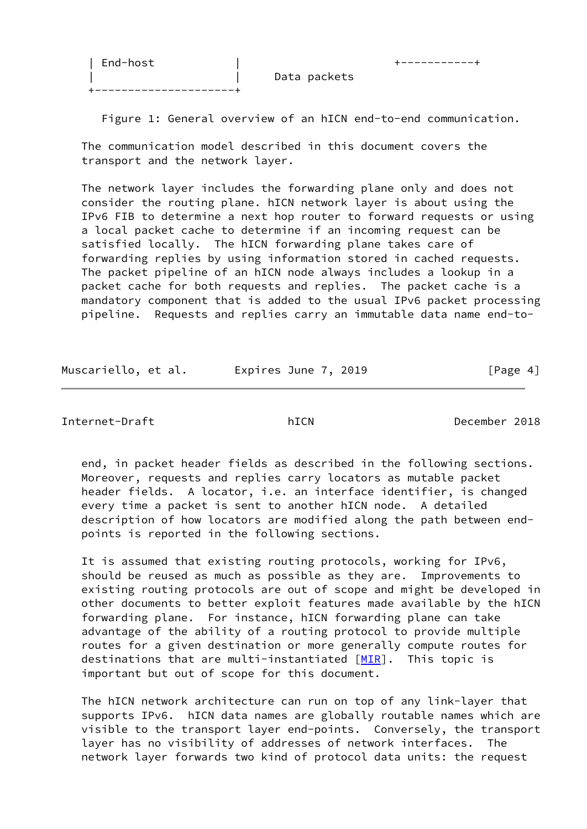| End-host | +-----------+ +---------------------+

Data packets

Figure 1: General overview of an hICN end-to-end communication.

 The communication model described in this document covers the transport and the network layer.

 The network layer includes the forwarding plane only and does not consider the routing plane. hICN network layer is about using the IPv6 FIB to determine a next hop router to forward requests or using a local packet cache to determine if an incoming request can be satisfied locally. The hICN forwarding plane takes care of forwarding replies by using information stored in cached requests. The packet pipeline of an hICN node always includes a lookup in a packet cache for both requests and replies. The packet cache is a mandatory component that is added to the usual IPv6 packet processing pipeline. Requests and replies carry an immutable data name end-to-

Muscariello, et al. Expires June 7, 2019 [Page 4]

Internet-Draft hICN December 2018

 end, in packet header fields as described in the following sections. Moreover, requests and replies carry locators as mutable packet header fields. A locator, i.e. an interface identifier, is changed every time a packet is sent to another hICN node. A detailed description of how locators are modified along the path between end points is reported in the following sections.

 It is assumed that existing routing protocols, working for IPv6, should be reused as much as possible as they are. Improvements to existing routing protocols are out of scope and might be developed in other documents to better exploit features made available by the hICN forwarding plane. For instance, hICN forwarding plane can take advantage of the ability of a routing protocol to provide multiple routes for a given destination or more generally compute routes for destinations that are multi-instantiated  $[MIR]$  $[MIR]$ . This topic is important but out of scope for this document.

 The hICN network architecture can run on top of any link-layer that supports IPv6. hICN data names are globally routable names which are visible to the transport layer end-points. Conversely, the transport layer has no visibility of addresses of network interfaces. The network layer forwards two kind of protocol data units: the request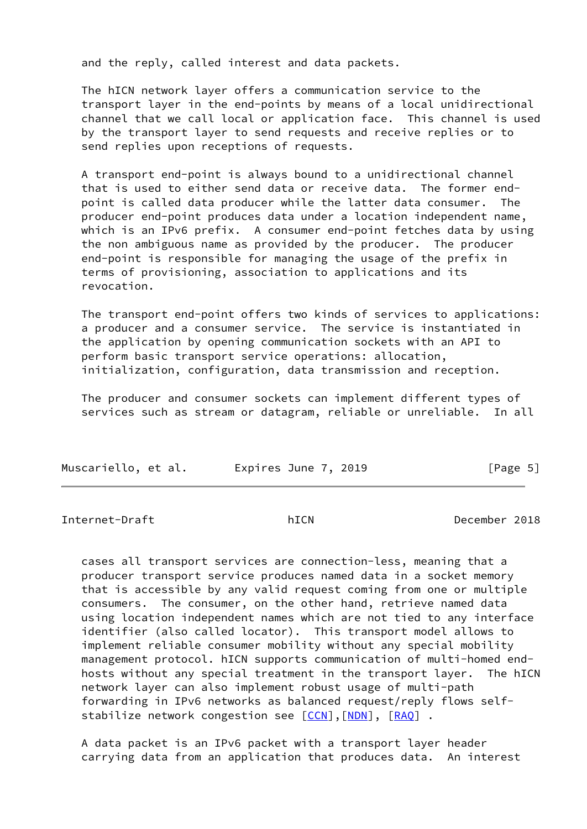and the reply, called interest and data packets.

 The hICN network layer offers a communication service to the transport layer in the end-points by means of a local unidirectional channel that we call local or application face. This channel is used by the transport layer to send requests and receive replies or to send replies upon receptions of requests.

 A transport end-point is always bound to a unidirectional channel that is used to either send data or receive data. The former end point is called data producer while the latter data consumer. The producer end-point produces data under a location independent name, which is an IPv6 prefix. A consumer end-point fetches data by using the non ambiguous name as provided by the producer. The producer end-point is responsible for managing the usage of the prefix in terms of provisioning, association to applications and its revocation.

 The transport end-point offers two kinds of services to applications: a producer and a consumer service. The service is instantiated in the application by opening communication sockets with an API to perform basic transport service operations: allocation, initialization, configuration, data transmission and reception.

 The producer and consumer sockets can implement different types of services such as stream or datagram, reliable or unreliable. In all

| Muscariello, et al. | Expires June 7, 2019 | [Page 5] |
|---------------------|----------------------|----------|
|---------------------|----------------------|----------|

<span id="page-5-0"></span>Internet-Draft hICN December 2018

 cases all transport services are connection-less, meaning that a producer transport service produces named data in a socket memory that is accessible by any valid request coming from one or multiple consumers. The consumer, on the other hand, retrieve named data using location independent names which are not tied to any interface identifier (also called locator). This transport model allows to implement reliable consumer mobility without any special mobility management protocol. hICN supports communication of multi-homed end hosts without any special treatment in the transport layer. The hICN network layer can also implement robust usage of multi-path forwarding in IPv6 networks as balanced request/reply flows self- stabilize network congestion see [\[CCN](#page-22-3)], [\[NDN](#page-23-3)], [[RAQ](#page-23-4)].

 A data packet is an IPv6 packet with a transport layer header carrying data from an application that produces data. An interest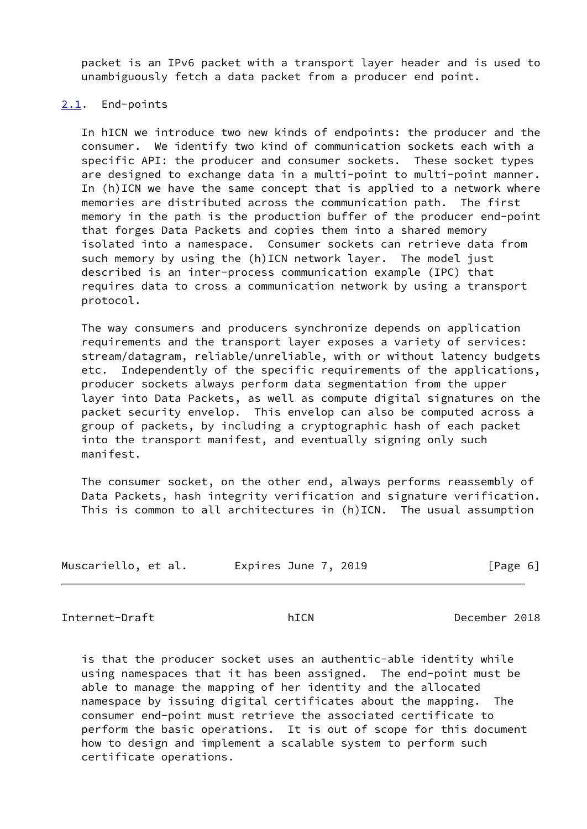packet is an IPv6 packet with a transport layer header and is used to unambiguously fetch a data packet from a producer end point.

### <span id="page-6-0"></span>[2.1](#page-6-0). End-points

 In hICN we introduce two new kinds of endpoints: the producer and the consumer. We identify two kind of communication sockets each with a specific API: the producer and consumer sockets. These socket types are designed to exchange data in a multi-point to multi-point manner. In (h)ICN we have the same concept that is applied to a network where memories are distributed across the communication path. The first memory in the path is the production buffer of the producer end-point that forges Data Packets and copies them into a shared memory isolated into a namespace. Consumer sockets can retrieve data from such memory by using the (h)ICN network layer. The model just described is an inter-process communication example (IPC) that requires data to cross a communication network by using a transport protocol.

 The way consumers and producers synchronize depends on application requirements and the transport layer exposes a variety of services: stream/datagram, reliable/unreliable, with or without latency budgets etc. Independently of the specific requirements of the applications, producer sockets always perform data segmentation from the upper layer into Data Packets, as well as compute digital signatures on the packet security envelop. This envelop can also be computed across a group of packets, by including a cryptographic hash of each packet into the transport manifest, and eventually signing only such manifest.

 The consumer socket, on the other end, always performs reassembly of Data Packets, hash integrity verification and signature verification. This is common to all architectures in (h)ICN. The usual assumption

| Muscariello, et al.<br>Expires June 7, 2019 | [Page 6] |
|---------------------------------------------|----------|
|---------------------------------------------|----------|

<span id="page-6-1"></span>Internet-Draft hICN December 2018

 is that the producer socket uses an authentic-able identity while using namespaces that it has been assigned. The end-point must be able to manage the mapping of her identity and the allocated namespace by issuing digital certificates about the mapping. The consumer end-point must retrieve the associated certificate to perform the basic operations. It is out of scope for this document how to design and implement a scalable system to perform such certificate operations.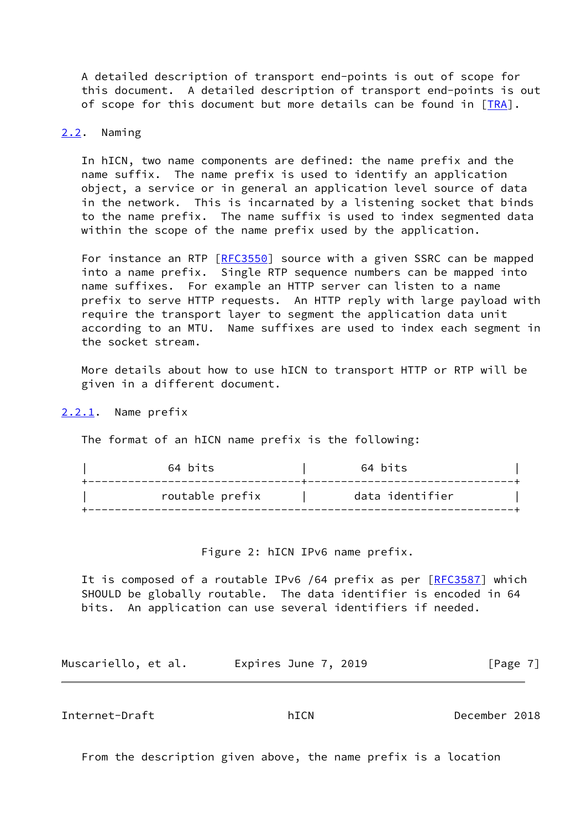A detailed description of transport end-points is out of scope for this document. A detailed description of transport end-points is out of scope for this document but more details can be found in [\[TRA](#page-23-5)].

### <span id="page-7-0"></span>[2.2](#page-7-0). Naming

 In hICN, two name components are defined: the name prefix and the name suffix. The name prefix is used to identify an application object, a service or in general an application level source of data in the network. This is incarnated by a listening socket that binds to the name prefix. The name suffix is used to index segmented data within the scope of the name prefix used by the application.

For instance an RTP [\[RFC3550](https://datatracker.ietf.org/doc/pdf/rfc3550)] source with a given SSRC can be mapped into a name prefix. Single RTP sequence numbers can be mapped into name suffixes. For example an HTTP server can listen to a name prefix to serve HTTP requests. An HTTP reply with large payload with require the transport layer to segment the application data unit according to an MTU. Name suffixes are used to index each segment in the socket stream.

 More details about how to use hICN to transport HTTP or RTP will be given in a different document.

<span id="page-7-1"></span>[2.2.1](#page-7-1). Name prefix

The format of an hICN name prefix is the following:

| 64 bits         | 64 bits         |  |
|-----------------|-----------------|--|
| routable prefix | data identifier |  |

Figure 2: hICN IPv6 name prefix.

It is composed of a routable IPv6 /64 prefix as per [\[RFC3587](https://datatracker.ietf.org/doc/pdf/rfc3587)] which SHOULD be globally routable. The data identifier is encoded in 64 bits. An application can use several identifiers if needed.

Muscariello, et al. 
Expires June 7, 2019  $[Page 7]$ 

<span id="page-7-2"></span>Internet-Draft hICN December 2018

From the description given above, the name prefix is a location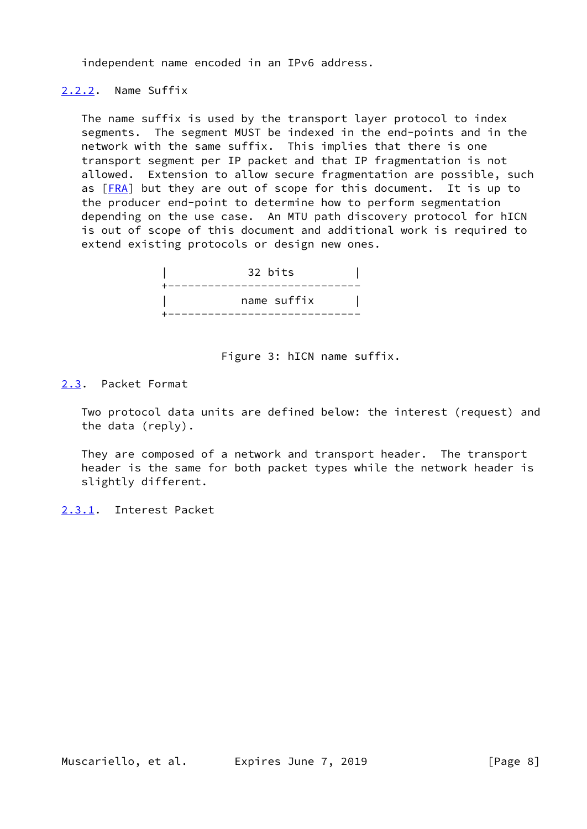independent name encoded in an IPv6 address.

### <span id="page-8-0"></span>[2.2.2](#page-8-0). Name Suffix

 The name suffix is used by the transport layer protocol to index segments. The segment MUST be indexed in the end-points and in the network with the same suffix. This implies that there is one transport segment per IP packet and that IP fragmentation is not allowed. Extension to allow secure fragmentation are possible, such as  $[FRA]$  $[FRA]$  but they are out of scope for this document. It is up to the producer end-point to determine how to perform segmentation depending on the use case. An MTU path discovery protocol for hICN is out of scope of this document and additional work is required to extend existing protocols or design new ones.



Figure 3: hICN name suffix.

### <span id="page-8-1"></span>[2.3](#page-8-1). Packet Format

 Two protocol data units are defined below: the interest (request) and the data (reply).

 They are composed of a network and transport header. The transport header is the same for both packet types while the network header is slightly different.

<span id="page-8-2"></span>[2.3.1](#page-8-2). Interest Packet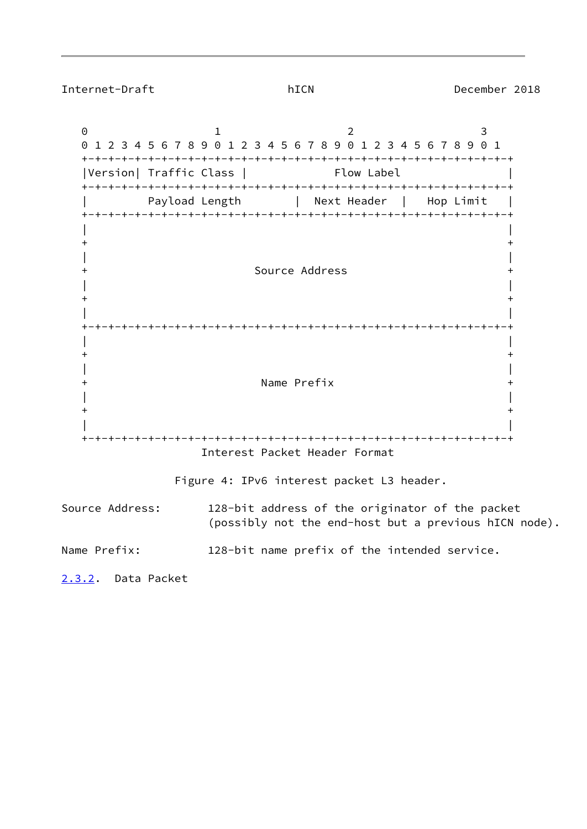<span id="page-9-1"></span>Internet-Draft hICN December 2018

<span id="page-9-0"></span>0 1 2 3 0 1 2 3 4 5 6 7 8 9 0 1 2 3 4 5 6 7 8 9 0 1 2 3 4 5 6 7 8 9 0 1 +-+-+-+-+-+-+-+-+-+-+-+-+-+-+-+-+-+-+-+-+-+-+-+-+-+-+-+-+-+-+-+-+ |Version| Traffic Class | Flow Label +-+-+-+-+-+-+-+-+-+-+-+-+-+-+-+-+-+-+-+-+-+-+-+-+-+-+-+-+-+-+-+-+ Payload Length | Next Header | Hop Limit | +-+-+-+-+-+-+-+-+-+-+-+-+-+-+-+-+-+-+-+-+-+-+-+-+-+-+-+-+-+-+-+-+ | | + + | | + Source Address + | |  $+$  +  $+$  | | +-+-+-+-+-+-+-+-+-+-+-+-+-+-+-+-+-+-+-+-+-+-+-+-+-+-+-+-+-+-+-+-+ | |  $+$  +  $+$  | | + Name Prefix + | |  $+$  +  $+$  | | +-+-+-+-+-+-+-+-+-+-+-+-+-+-+-+-+-+-+-+-+-+-+-+-+-+-+-+-+-+-+-+-+ Interest Packet Header Format Figure 4: IPv6 interest packet L3 header. Source Address: 128-bit address of the originator of the packet (possibly not the end-host but a previous hICN node). Name Prefix: 128-bit name prefix of the intended service. [2.3.2](#page-9-0). Data Packet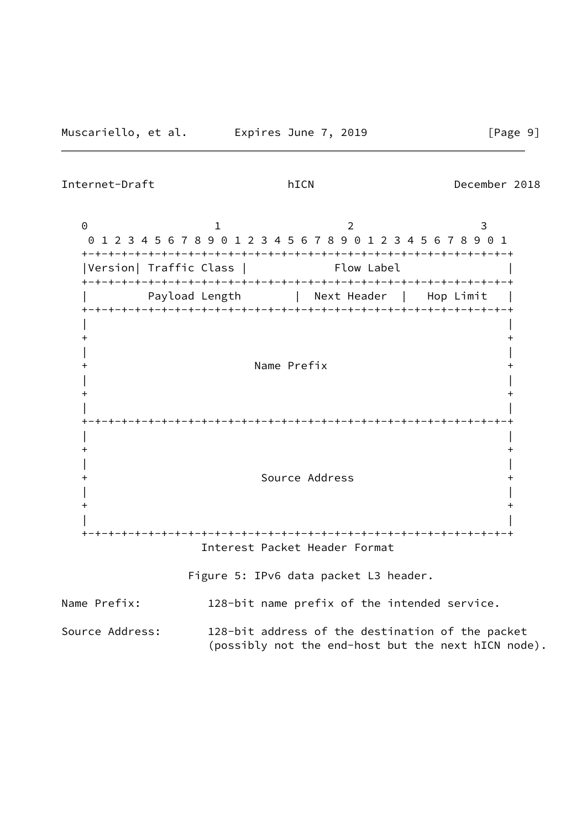Internet-Draft hICN December 2018

0 1 2 3 0 1 2 3 4 5 6 7 8 9 0 1 2 3 4 5 6 7 8 9 0 1 2 3 4 5 6 7 8 9 0 1 +-+-+-+-+-+-+-+-+-+-+-+-+-+-+-+-+-+-+-+-+-+-+-+-+-+-+-+-+-+-+-+-+ |Version| Traffic Class | Flow Label +-+-+-+-+-+-+-+-+-+-+-+-+-+-+-+-+-+-+-+-+-+-+-+-+-+-+-+-+-+-+-+-+ Payload Length | Next Header | Hop Limit | +-+-+-+-+-+-+-+-+-+-+-+-+-+-+-+-+-+-+-+-+-+-+-+-+-+-+-+-+-+-+-+-+ | |  $+$  +  $+$  | | + Name Prefix + | |  $+$  +  $+$  | | +-+-+-+-+-+-+-+-+-+-+-+-+-+-+-+-+-+-+-+-+-+-+-+-+-+-+-+-+-+-+-+-+ | |  $+$  +  $+$  | | + Source Address + | |  $+$  +  $+$  | | +-+-+-+-+-+-+-+-+-+-+-+-+-+-+-+-+-+-+-+-+-+-+-+-+-+-+-+-+-+-+-+-+ Interest Packet Header Format Figure 5: IPv6 data packet L3 header. Name Prefix: 128-bit name prefix of the intended service. Source Address: 128-bit address of the destination of the packet (possibly not the end-host but the next hICN node).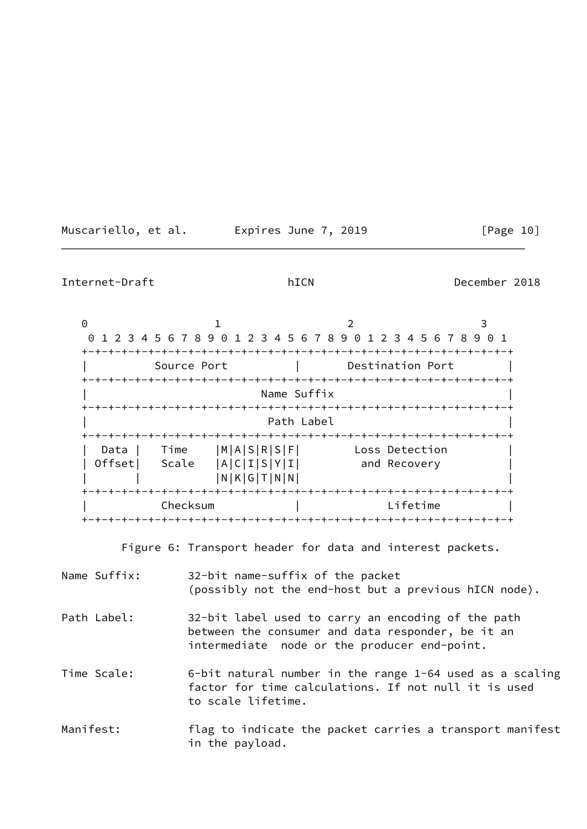Muscariello, et al. **Expires June 7, 2019**[Page 10]

Internet-Draft hICN December 2018

0 1 2 3 0 1 2 3 4 5 6 7 8 9 0 1 2 3 4 5 6 7 8 9 0 1 2 3 4 5 6 7 8 9 0 1 +-+-+-+-+-+-+-+-+-+-+-+-+-+-+-+-+-+-+-+-+-+-+-+-+-+-+-+-+-+-+-+-+ | Source Port | Destination Port | +-+-+-+-+-+-+-+-+-+-+-+-+-+-+-+-+-+-+-+-+-+-+-+-+-+-+-+-+-+-+-+-+ Name Suffix +-+-+-+-+-+-+-+-+-+-+-+-+-+-+-+-+-+-+-+-+-+-+-+-+-+-+-+-+-+-+-+-+ Path Label +-+-+-+-+-+-+-+-+-+-+-+-+-+-+-+-+-+-+-+-+-+-+-+-+-+-+-+-+-+-+-+-+ Data | Time |M|A|S|R|S|F| Loss Detection | Offset| Scale |A|C|I|S|Y|I| and Recovery | | | |N|K|G|T|N|N| | +-+-+-+-+-+-+-+-+-+-+-+-+-+-+-+-+-+-+-+-+-+-+-+-+-+-+-+-+-+-+-+-+ | Checksum | Lifetime | +-+-+-+-+-+-+-+-+-+-+-+-+-+-+-+-+-+-+-+-+-+-+-+-+-+-+-+-+-+-+-+-+

Figure 6: Transport header for data and interest packets.

| Name Suffix: | 32-bit name-suffix of the packet<br>(possibly not the end-host but a previous hICN node).                                                               |
|--------------|---------------------------------------------------------------------------------------------------------------------------------------------------------|
| Path Label:  | 32-bit label used to carry an encoding of the path<br>between the consumer and data responder, be it an<br>intermediate node or the producer end-point. |
| Time Scale:  | 6-bit natural number in the range 1-64 used as a scaling<br>factor for time calculations. If not null it is used<br>to scale lifetime.                  |
| Manifest:    | flag to indicate the packet carries a transport manifest<br>in the payload.                                                                             |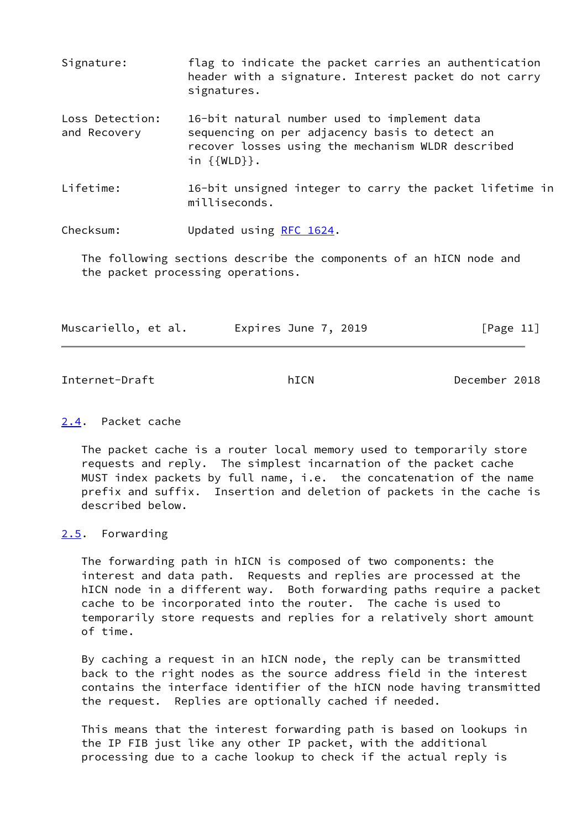- Signature: flag to indicate the packet carries an authentication header with a signature. Interest packet do not carry signatures.
- Loss Detection: 16-bit natural number used to implement data and Recovery sequencing on per adjacency basis to detect an recover losses using the mechanism WLDR described in {{WLD}}.
- Lifetime: 16-bit unsigned integer to carry the packet lifetime in milliseconds.

Checksum: Updated using [RFC 1624](https://datatracker.ietf.org/doc/pdf/rfc1624).

 The following sections describe the components of an hICN node and the packet processing operations.

| Muscariello, et al. | Expires June 7, 2019 | [Page 11] |
|---------------------|----------------------|-----------|
|---------------------|----------------------|-----------|

<span id="page-12-1"></span>Internet-Draft hICN December 2018

### <span id="page-12-0"></span>[2.4](#page-12-0). Packet cache

 The packet cache is a router local memory used to temporarily store requests and reply. The simplest incarnation of the packet cache MUST index packets by full name, i.e. the concatenation of the name prefix and suffix. Insertion and deletion of packets in the cache is described below.

### <span id="page-12-2"></span>[2.5](#page-12-2). Forwarding

 The forwarding path in hICN is composed of two components: the interest and data path. Requests and replies are processed at the hICN node in a different way. Both forwarding paths require a packet cache to be incorporated into the router. The cache is used to temporarily store requests and replies for a relatively short amount of time.

 By caching a request in an hICN node, the reply can be transmitted back to the right nodes as the source address field in the interest contains the interface identifier of the hICN node having transmitted the request. Replies are optionally cached if needed.

 This means that the interest forwarding path is based on lookups in the IP FIB just like any other IP packet, with the additional processing due to a cache lookup to check if the actual reply is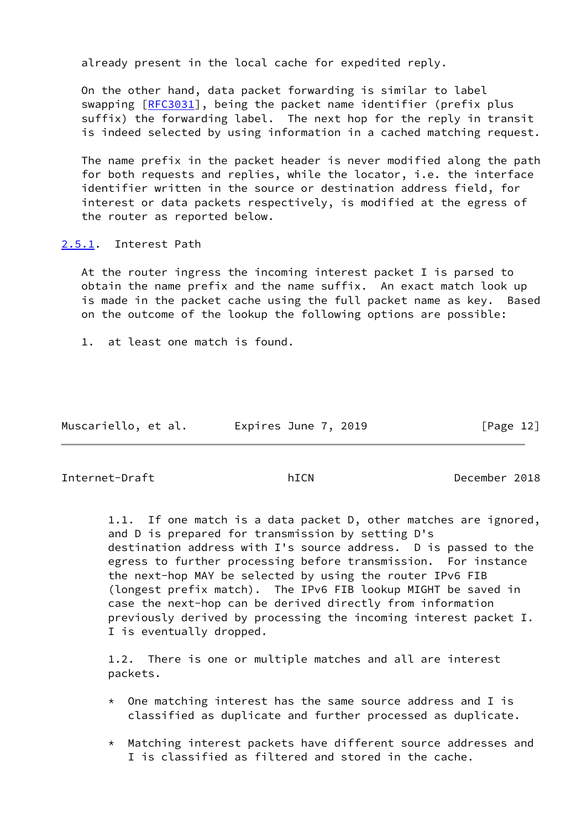already present in the local cache for expedited reply.

 On the other hand, data packet forwarding is similar to label swapping [\[RFC3031](https://datatracker.ietf.org/doc/pdf/rfc3031)], being the packet name identifier (prefix plus suffix) the forwarding label. The next hop for the reply in transit is indeed selected by using information in a cached matching request.

 The name prefix in the packet header is never modified along the path for both requests and replies, while the locator, i.e. the interface identifier written in the source or destination address field, for interest or data packets respectively, is modified at the egress of the router as reported below.

<span id="page-13-0"></span>[2.5.1](#page-13-0). Interest Path

 At the router ingress the incoming interest packet I is parsed to obtain the name prefix and the name suffix. An exact match look up is made in the packet cache using the full packet name as key. Based on the outcome of the lookup the following options are possible:

1. at least one match is found.

|  | Muscariello, et al. |  | Expires June 7, 2019 | [Page $12$ ] |  |
|--|---------------------|--|----------------------|--------------|--|
|--|---------------------|--|----------------------|--------------|--|

Internet-Draft hICN December 2018

 1.1. If one match is a data packet D, other matches are ignored, and D is prepared for transmission by setting D's destination address with I's source address. D is passed to the egress to further processing before transmission. For instance the next-hop MAY be selected by using the router IPv6 FIB (longest prefix match). The IPv6 FIB lookup MIGHT be saved in case the next-hop can be derived directly from information previously derived by processing the incoming interest packet I. I is eventually dropped.

 1.2. There is one or multiple matches and all are interest packets.

- $*$  One matching interest has the same source address and I is classified as duplicate and further processed as duplicate.
- \* Matching interest packets have different source addresses and I is classified as filtered and stored in the cache.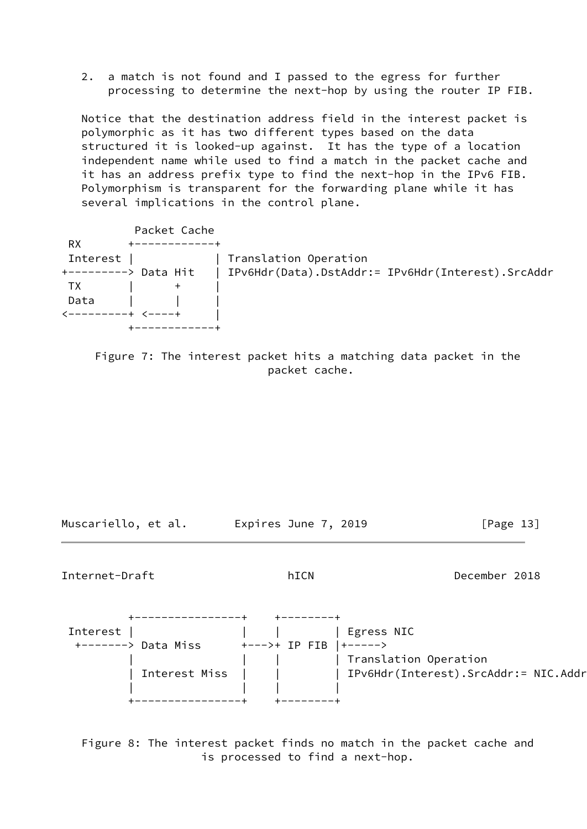2. a match is not found and I passed to the egress for further processing to determine the next-hop by using the router IP FIB.

 Notice that the destination address field in the interest packet is polymorphic as it has two different types based on the data structured it is looked-up against. It has the type of a location independent name while used to find a match in the packet cache and it has an address prefix type to find the next-hop in the IPv6 FIB. Polymorphism is transparent for the forwarding plane while it has several implications in the control plane.

| Packet Cache                               |                                                   |
|--------------------------------------------|---------------------------------------------------|
| <b>RX</b><br>+------------+                |                                                   |
| Interest   Interest                        | Translation Operation                             |
| +---------> Data Hit                       | IPv6Hdr(Data).DstAddr:= IPv6Hdr(Interest).SrcAddr |
| <b>TX</b><br>$\ddagger$                    |                                                   |
| Data                                       |                                                   |
| $\leftarrow$ ---------+ $\leftarrow$ ----+ |                                                   |
|                                            |                                                   |

 Figure 7: The interest packet hits a matching data packet in the packet cache.

Muscariello, et al. **Expires June 7, 2019**[Page 13]

<span id="page-14-0"></span>Internet-Draft hICN December 2018



 Figure 8: The interest packet finds no match in the packet cache and is processed to find a next-hop.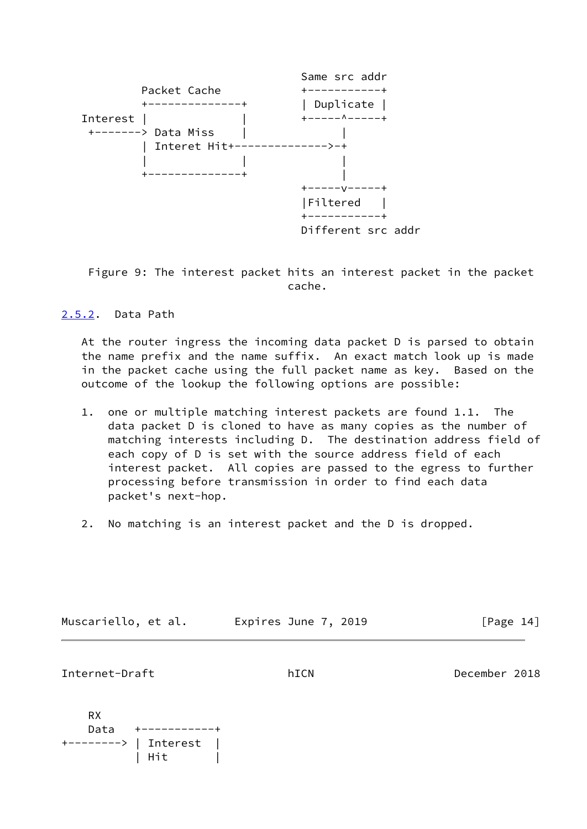

 Figure 9: The interest packet hits an interest packet in the packet cache.

## <span id="page-15-0"></span>[2.5.2](#page-15-0). Data Path

 At the router ingress the incoming data packet D is parsed to obtain the name prefix and the name suffix. An exact match look up is made in the packet cache using the full packet name as key. Based on the outcome of the lookup the following options are possible:

- 1. one or multiple matching interest packets are found 1.1. The data packet D is cloned to have as many copies as the number of matching interests including D. The destination address field of each copy of D is set with the source address field of each interest packet. All copies are passed to the egress to further processing before transmission in order to find each data packet's next-hop.
- 2. No matching is an interest packet and the D is dropped.

| Muscariello, et al. |  | Expires June 7, 2019 | [Page 14] |  |
|---------------------|--|----------------------|-----------|--|
|---------------------|--|----------------------|-----------|--|

<span id="page-15-1"></span>Internet-Draft hICN December 2018

 RX Data +-----------+ +--------> | Interest | | Hit |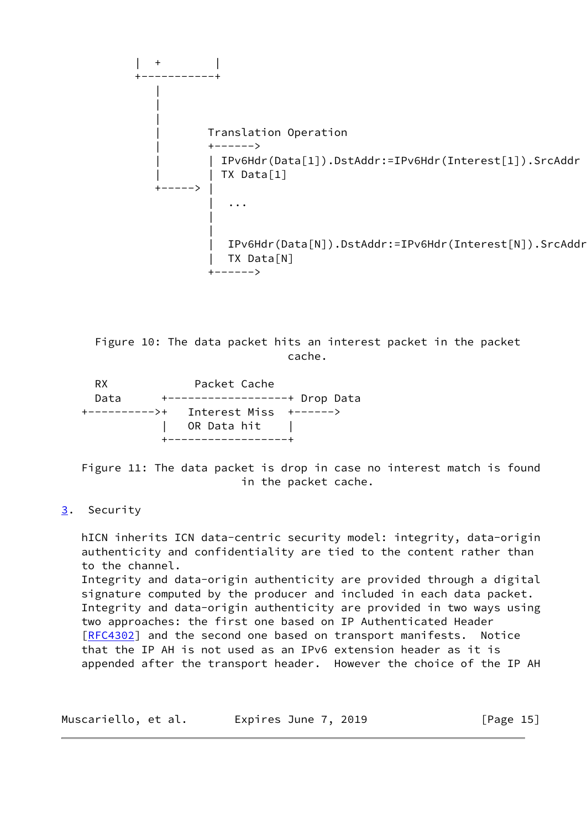

 Figure 10: The data packet hits an interest packet in the packet cache.

RX Packet Cache Data +------------------+ Drop Data +---------->+ Interest Miss +------> OR Data hit | +------------------+

 Figure 11: The data packet is drop in case no interest match is found in the packet cache.

# <span id="page-16-0"></span>[3](#page-16-0). Security

 hICN inherits ICN data-centric security model: integrity, data-origin authenticity and confidentiality are tied to the content rather than to the channel. Integrity and data-origin authenticity are provided through a digital signature computed by the producer and included in each data packet. Integrity and data-origin authenticity are provided in two ways using two approaches: the first one based on IP Authenticated Header [\[RFC4302](https://datatracker.ietf.org/doc/pdf/rfc4302)] and the second one based on transport manifests. Notice that the IP AH is not used as an IPv6 extension header as it is appended after the transport header. However the choice of the IP AH

| Muscariello, et al. | Expires June 7, 2019 | [Page 15] |
|---------------------|----------------------|-----------|
|---------------------|----------------------|-----------|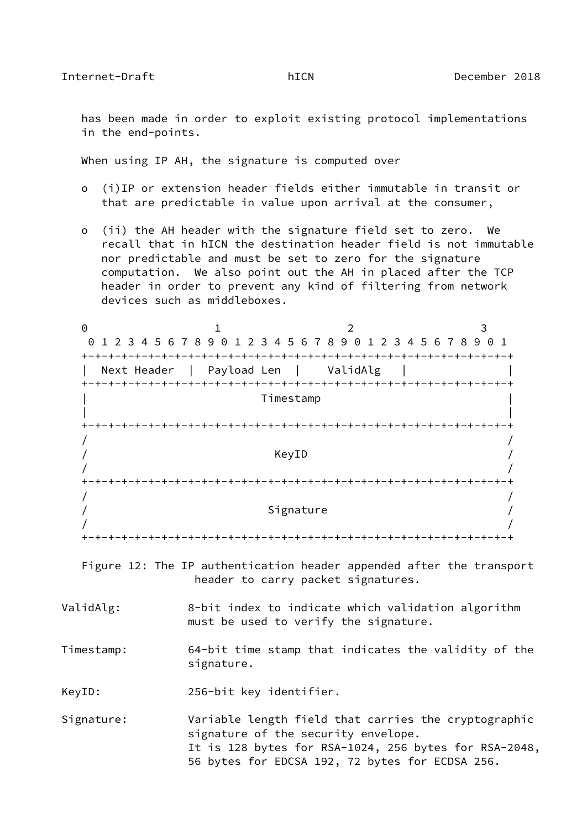has been made in order to exploit existing protocol implementations in the end-points.

When using IP AH, the signature is computed over

- o (i)IP or extension header fields either immutable in transit or that are predictable in value upon arrival at the consumer,
- o (ii) the AH header with the signature field set to zero. We recall that in hICN the destination header field is not immutable nor predictable and must be set to zero for the signature computation. We also point out the AH in placed after the TCP header in order to prevent any kind of filtering from network devices such as middleboxes.

| $\Theta$   | $\mathfrak{D}$<br>$\mathbf{1}$                                                                                                                                                                          | 3 |
|------------|---------------------------------------------------------------------------------------------------------------------------------------------------------------------------------------------------------|---|
|            | 0 1 2 3 4 5 6 7 8 9 0 1 2 3 4 5 6 7 8 9 0 1 2 3 4 5 6 7 8 9 0 1                                                                                                                                         |   |
|            | Next Header   Payload Len   ValidAlg                                                                                                                                                                    |   |
|            | Timestamp                                                                                                                                                                                               |   |
|            |                                                                                                                                                                                                         |   |
|            | KeyID                                                                                                                                                                                                   |   |
|            |                                                                                                                                                                                                         |   |
|            | Signature                                                                                                                                                                                               |   |
|            |                                                                                                                                                                                                         |   |
|            | Figure 12: The IP authentication header appended after the transport<br>header to carry packet signatures.                                                                                              |   |
| ValidAlg:  | 8-bit index to indicate which validation algorithm<br>must be used to verify the signature.                                                                                                             |   |
| Timestamp: | 64-bit time stamp that indicates the validity of the<br>signature.                                                                                                                                      |   |
| KeyID:     | 256-bit key identifier.                                                                                                                                                                                 |   |
| Signature: | Variable length field that carries the cryptographic<br>signature of the security envelope.<br>It is 128 bytes for RSA-1024, 256 bytes for RSA-2048,<br>56 bytes for EDCSA 192, 72 bytes for ECDSA 256. |   |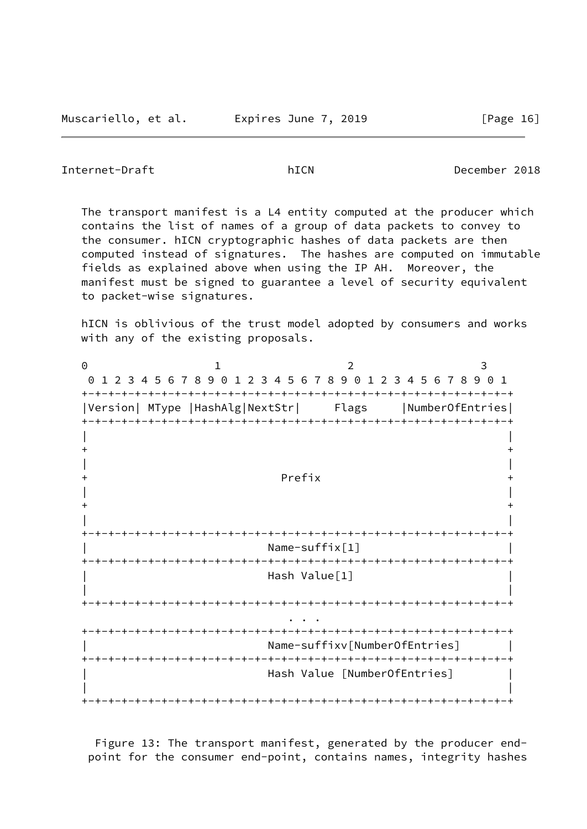Internet-Draft hICN December 2018

 The transport manifest is a L4 entity computed at the producer which contains the list of names of a group of data packets to convey to the consumer. hICN cryptographic hashes of data packets are then computed instead of signatures. The hashes are computed on immutable fields as explained above when using the IP AH. Moreover, the manifest must be signed to guarantee a level of security equivalent to packet-wise signatures.

 hICN is oblivious of the trust model adopted by consumers and works with any of the existing proposals.

0 1 2 3 0 1 2 3 4 5 6 7 8 9 0 1 2 3 4 5 6 7 8 9 0 1 2 3 4 5 6 7 8 9 0 1 +-+-+-+-+-+-+-+-+-+-+-+-+-+-+-+-+-+-+-+-+-+-+-+-+-+-+-+-+-+-+-+-+ |Version| MType |HashAlg|NextStr| Flags |NumberOfEntries| +-+-+-+-+-+-+-+-+-+-+-+-+-+-+-+-+-+-+-+-+-+-+-+-+-+-+-+-+-+-+-+-+ | | + + | | + Prefix + | |  $+$  +  $+$  | | +-+-+-+-+-+-+-+-+-+-+-+-+-+-+-+-+-+-+-+-+-+-+-+-+-+-+-+-+-+-+-+-+  $Name-suffix[1]$  +-+-+-+-+-+-+-+-+-+-+-+-+-+-+-+-+-+-+-+-+-+-+-+-+-+-+-+-+-+-+-+-+ Hash Value[1] | | +-+-+-+-+-+-+-+-+-+-+-+-+-+-+-+-+-+-+-+-+-+-+-+-+-+-+-+-+-+-+-+-+ . . . +-+-+-+-+-+-+-+-+-+-+-+-+-+-+-+-+-+-+-+-+-+-+-+-+-+-+-+-+-+-+-+-+ | Name-suffixv[NumberOfEntries] | +-+-+-+-+-+-+-+-+-+-+-+-+-+-+-+-+-+-+-+-+-+-+-+-+-+-+-+-+-+-+-+-+ | Hash Value [NumberOfEntries] | | | +-+-+-+-+-+-+-+-+-+-+-+-+-+-+-+-+-+-+-+-+-+-+-+-+-+-+-+-+-+-+-+-+

 Figure 13: The transport manifest, generated by the producer end point for the consumer end-point, contains names, integrity hashes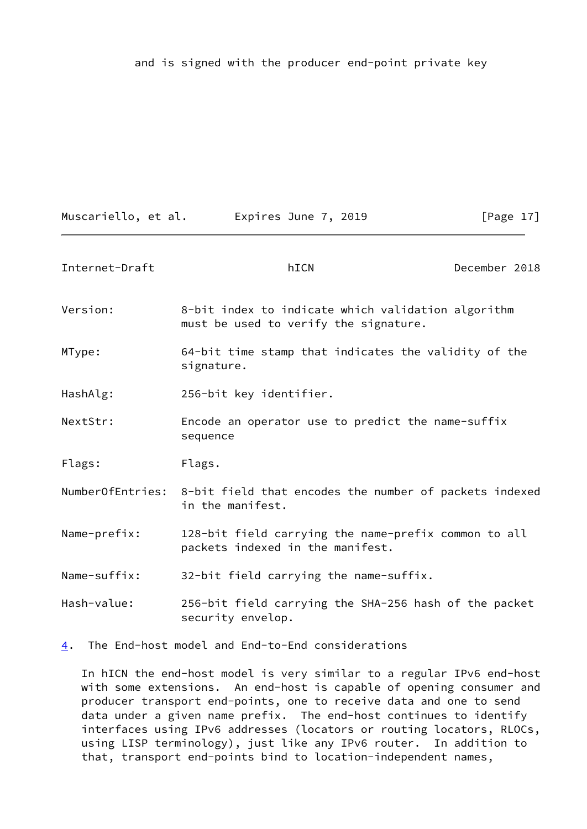and is signed with the producer end-point private key

Muscariello, et al. 
Expires June 7, 2019  $[Page 17]$ 

<span id="page-19-1"></span>

| Internet-Draft   | hICN                                                                                        | December 2018 |
|------------------|---------------------------------------------------------------------------------------------|---------------|
| Version:         | 8-bit index to indicate which validation algorithm<br>must be used to verify the signature. |               |
| MType:           | 64-bit time stamp that indicates the validity of the<br>signature.                          |               |
| HashAlg:         | 256-bit key identifier.                                                                     |               |
| NextStr:         | Encode an operator use to predict the name-suffix<br>sequence                               |               |
| Flags:           | Flags.                                                                                      |               |
|                  | NumberOfEntries: 8-bit field that encodes the number of packets indexed<br>in the manifest. |               |
| Name-prefix:     | 128-bit field carrying the name-prefix common to all<br>packets indexed in the manifest.    |               |
| Name-suffix:     | 32-bit field carrying the name-suffix.                                                      |               |
| Hash-value:      | 256-bit field carrying the SHA-256 hash of the packet<br>security envelop.                  |               |
| $\overline{4}$ . | The End-host model and End-to-End considerations                                            |               |

<span id="page-19-0"></span> In hICN the end-host model is very similar to a regular IPv6 end-host with some extensions. An end-host is capable of opening consumer and producer transport end-points, one to receive data and one to send data under a given name prefix. The end-host continues to identify interfaces using IPv6 addresses (locators or routing locators, RLOCs, using LISP terminology), just like any IPv6 router. In addition to that, transport end-points bind to location-independent names,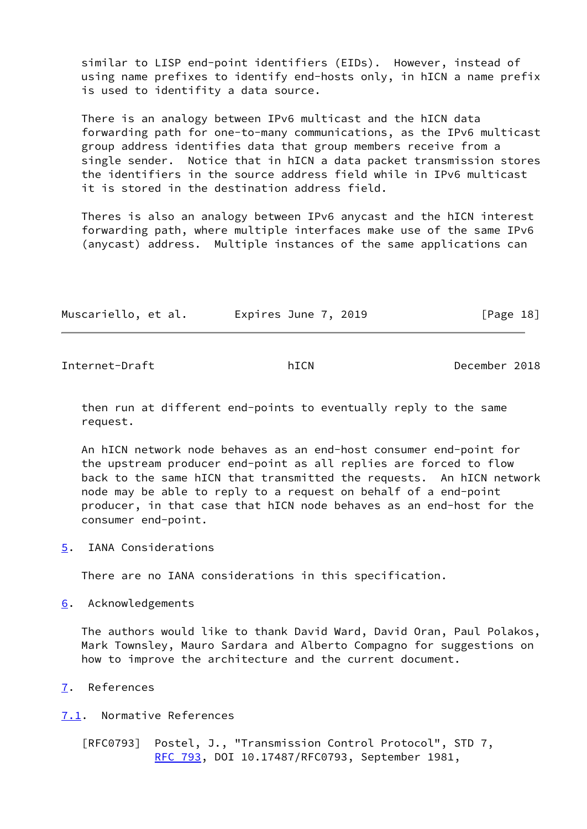similar to LISP end-point identifiers (EIDs). However, instead of using name prefixes to identify end-hosts only, in hICN a name prefix is used to identifity a data source.

 There is an analogy between IPv6 multicast and the hICN data forwarding path for one-to-many communications, as the IPv6 multicast group address identifies data that group members receive from a single sender. Notice that in hICN a data packet transmission stores the identifiers in the source address field while in IPv6 multicast it is stored in the destination address field.

 Theres is also an analogy between IPv6 anycast and the hICN interest forwarding path, where multiple interfaces make use of the same IPv6 (anycast) address. Multiple instances of the same applications can

| Muscariello, et al. | Expires June 7, 2019 | [Page 18] |
|---------------------|----------------------|-----------|
|---------------------|----------------------|-----------|

<span id="page-20-1"></span>Internet-Draft hICN December 2018

 then run at different end-points to eventually reply to the same request.

 An hICN network node behaves as an end-host consumer end-point for the upstream producer end-point as all replies are forced to flow back to the same hICN that transmitted the requests. An hICN network node may be able to reply to a request on behalf of a end-point producer, in that case that hICN node behaves as an end-host for the consumer end-point.

<span id="page-20-0"></span>[5](#page-20-0). IANA Considerations

There are no IANA considerations in this specification.

<span id="page-20-2"></span>[6](#page-20-2). Acknowledgements

 The authors would like to thank David Ward, David Oran, Paul Polakos, Mark Townsley, Mauro Sardara and Alberto Compagno for suggestions on how to improve the architecture and the current document.

<span id="page-20-3"></span>[7](#page-20-3). References

<span id="page-20-4"></span>[7.1](#page-20-4). Normative References

 [RFC0793] Postel, J., "Transmission Control Protocol", STD 7, [RFC 793](https://datatracker.ietf.org/doc/pdf/rfc793), DOI 10.17487/RFC0793, September 1981,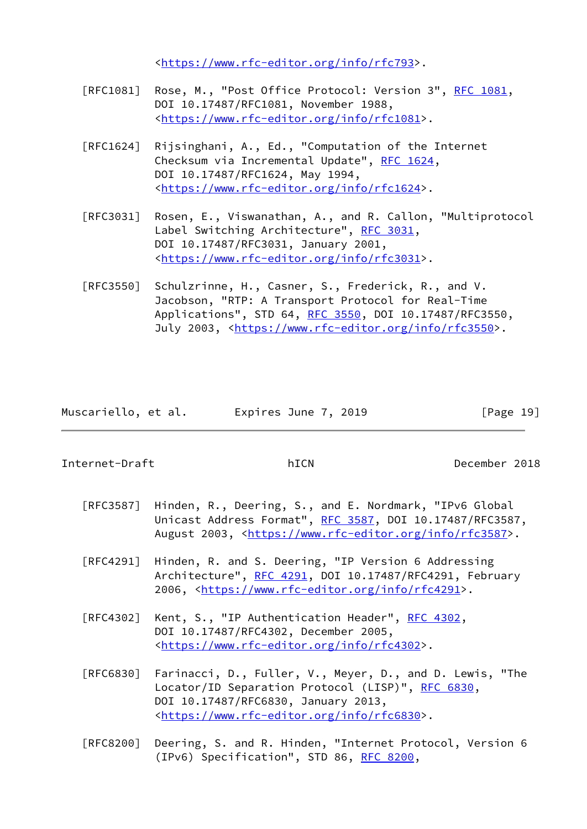<<https://www.rfc-editor.org/info/rfc793>>.

- [RFC1081] Rose, M., "Post Office Protocol: Version 3", [RFC 1081](https://datatracker.ietf.org/doc/pdf/rfc1081), DOI 10.17487/RFC1081, November 1988, <[https://www.rfc-editor.org/info/rfc1081>](https://www.rfc-editor.org/info/rfc1081).
- [RFC1624] Rijsinghani, A., Ed., "Computation of the Internet Checksum via Incremental Update", [RFC 1624](https://datatracker.ietf.org/doc/pdf/rfc1624), DOI 10.17487/RFC1624, May 1994, <[https://www.rfc-editor.org/info/rfc1624>](https://www.rfc-editor.org/info/rfc1624).
- [RFC3031] Rosen, E., Viswanathan, A., and R. Callon, "Multiprotocol Label Switching Architecture", [RFC 3031](https://datatracker.ietf.org/doc/pdf/rfc3031), DOI 10.17487/RFC3031, January 2001, <[https://www.rfc-editor.org/info/rfc3031>](https://www.rfc-editor.org/info/rfc3031).
- [RFC3550] Schulzrinne, H., Casner, S., Frederick, R., and V. Jacobson, "RTP: A Transport Protocol for Real-Time Applications", STD 64, [RFC 3550](https://datatracker.ietf.org/doc/pdf/rfc3550), DOI 10.17487/RFC3550, July 2003, <<https://www.rfc-editor.org/info/rfc3550>>.

|  | Muscariello, et al. | Expires June 7, 2019 | [Page 19] |
|--|---------------------|----------------------|-----------|
|--|---------------------|----------------------|-----------|

<span id="page-21-0"></span>Internet-Draft hICN December 2018

- [RFC3587] Hinden, R., Deering, S., and E. Nordmark, "IPv6 Global Unicast Address Format", [RFC 3587,](https://datatracker.ietf.org/doc/pdf/rfc3587) DOI 10.17487/RFC3587, August 2003, [<https://www.rfc-editor.org/info/rfc3587](https://www.rfc-editor.org/info/rfc3587)>.
- [RFC4291] Hinden, R. and S. Deering, "IP Version 6 Addressing Architecture", [RFC 4291](https://datatracker.ietf.org/doc/pdf/rfc4291), DOI 10.17487/RFC4291, February 2006, [<https://www.rfc-editor.org/info/rfc4291](https://www.rfc-editor.org/info/rfc4291)>.
- [RFC4302] Kent, S., "IP Authentication Header", [RFC 4302](https://datatracker.ietf.org/doc/pdf/rfc4302), DOI 10.17487/RFC4302, December 2005, <[https://www.rfc-editor.org/info/rfc4302>](https://www.rfc-editor.org/info/rfc4302).
- [RFC6830] Farinacci, D., Fuller, V., Meyer, D., and D. Lewis, "The Locator/ID Separation Protocol (LISP)", [RFC 6830,](https://datatracker.ietf.org/doc/pdf/rfc6830) DOI 10.17487/RFC6830, January 2013, <[https://www.rfc-editor.org/info/rfc6830>](https://www.rfc-editor.org/info/rfc6830).
- [RFC8200] Deering, S. and R. Hinden, "Internet Protocol, Version 6 (IPv6) Specification", STD 86, [RFC 8200](https://datatracker.ietf.org/doc/pdf/rfc8200),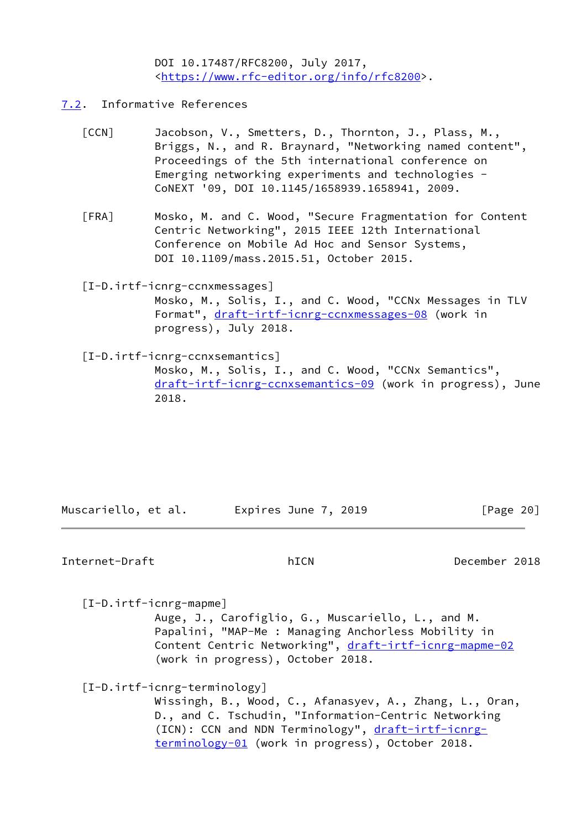DOI 10.17487/RFC8200, July 2017, <[https://www.rfc-editor.org/info/rfc8200>](https://www.rfc-editor.org/info/rfc8200).

- <span id="page-22-3"></span><span id="page-22-0"></span>[7.2](#page-22-0). Informative References
	- [CCN] Jacobson, V., Smetters, D., Thornton, J., Plass, M., Briggs, N., and R. Braynard, "Networking named content", Proceedings of the 5th international conference on Emerging networking experiments and technologies - CoNEXT '09, DOI 10.1145/1658939.1658941, 2009.
	- [FRA] Mosko, M. and C. Wood, "Secure Fragmentation for Content Centric Networking", 2015 IEEE 12th International Conference on Mobile Ad Hoc and Sensor Systems, DOI 10.1109/mass.2015.51, October 2015.

# <span id="page-22-4"></span><span id="page-22-2"></span>[I-D.irtf-icnrg-ccnxmessages]

 Mosko, M., Solis, I., and C. Wood, "CCNx Messages in TLV Format", [draft-irtf-icnrg-ccnxmessages-08](https://datatracker.ietf.org/doc/pdf/draft-irtf-icnrg-ccnxmessages-08) (work in progress), July 2018.

<span id="page-22-1"></span>[I-D.irtf-icnrg-ccnxsemantics]

 Mosko, M., Solis, I., and C. Wood, "CCNx Semantics", [draft-irtf-icnrg-ccnxsemantics-09](https://datatracker.ietf.org/doc/pdf/draft-irtf-icnrg-ccnxsemantics-09) (work in progress), June 2018.

Muscariello, et al. Expires June 7, 2019 [Page 20]

## Internet-Draft hICN December 2018

[I-D.irtf-icnrg-mapme]

 Auge, J., Carofiglio, G., Muscariello, L., and M. Papalini, "MAP-Me : Managing Anchorless Mobility in Content Centric Networking", [draft-irtf-icnrg-mapme-02](https://datatracker.ietf.org/doc/pdf/draft-irtf-icnrg-mapme-02) (work in progress), October 2018.

### [I-D.irtf-icnrg-terminology]

 Wissingh, B., Wood, C., Afanasyev, A., Zhang, L., Oran, D., and C. Tschudin, "Information-Centric Networking (ICN): CCN and NDN Terminology", [draft-irtf-icnrg](https://datatracker.ietf.org/doc/pdf/draft-irtf-icnrg-terminology-01) [terminology-01](https://datatracker.ietf.org/doc/pdf/draft-irtf-icnrg-terminology-01) (work in progress), October 2018.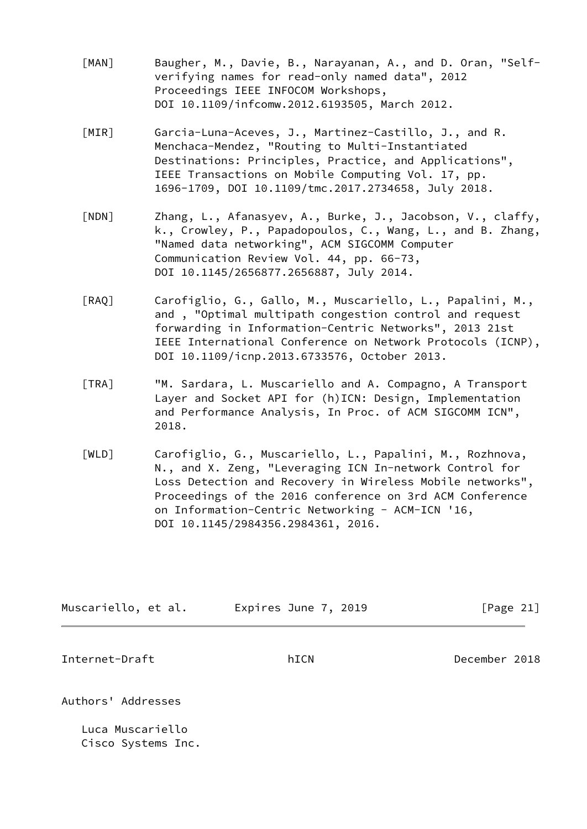- <span id="page-23-1"></span> [MAN] Baugher, M., Davie, B., Narayanan, A., and D. Oran, "Self verifying names for read-only named data", 2012 Proceedings IEEE INFOCOM Workshops, DOI 10.1109/infcomw.2012.6193505, March 2012.
- <span id="page-23-2"></span> [MIR] Garcia-Luna-Aceves, J., Martinez-Castillo, J., and R. Menchaca-Mendez, "Routing to Multi-Instantiated Destinations: Principles, Practice, and Applications", IEEE Transactions on Mobile Computing Vol. 17, pp. 1696-1709, DOI 10.1109/tmc.2017.2734658, July 2018.
- <span id="page-23-3"></span> [NDN] Zhang, L., Afanasyev, A., Burke, J., Jacobson, V., claffy, k., Crowley, P., Papadopoulos, C., Wang, L., and B. Zhang, "Named data networking", ACM SIGCOMM Computer Communication Review Vol. 44, pp. 66-73, DOI 10.1145/2656877.2656887, July 2014.
- <span id="page-23-4"></span> [RAQ] Carofiglio, G., Gallo, M., Muscariello, L., Papalini, M., and , "Optimal multipath congestion control and request forwarding in Information-Centric Networks", 2013 21st IEEE International Conference on Network Protocols (ICNP), DOI 10.1109/icnp.2013.6733576, October 2013.
- <span id="page-23-5"></span> [TRA] "M. Sardara, L. Muscariello and A. Compagno, A Transport Layer and Socket API for (h)ICN: Design, Implementation and Performance Analysis, In Proc. of ACM SIGCOMM ICN", 2018.
- [WLD] Carofiglio, G., Muscariello, L., Papalini, M., Rozhnova, N., and X. Zeng, "Leveraging ICN In-network Control for Loss Detection and Recovery in Wireless Mobile networks", Proceedings of the 2016 conference on 3rd ACM Conference on Information-Centric Networking - ACM-ICN '16, DOI 10.1145/2984356.2984361, 2016.

<span id="page-23-0"></span>

| Muscariello, et al. | Expires June 7, 2019 | [Page 21]     |
|---------------------|----------------------|---------------|
| Internet-Draft      | hICN                 | December 2018 |
| Authors' Addresses  |                      |               |
| $\blacksquare$      |                      |               |

 Luca Muscariello Cisco Systems Inc.